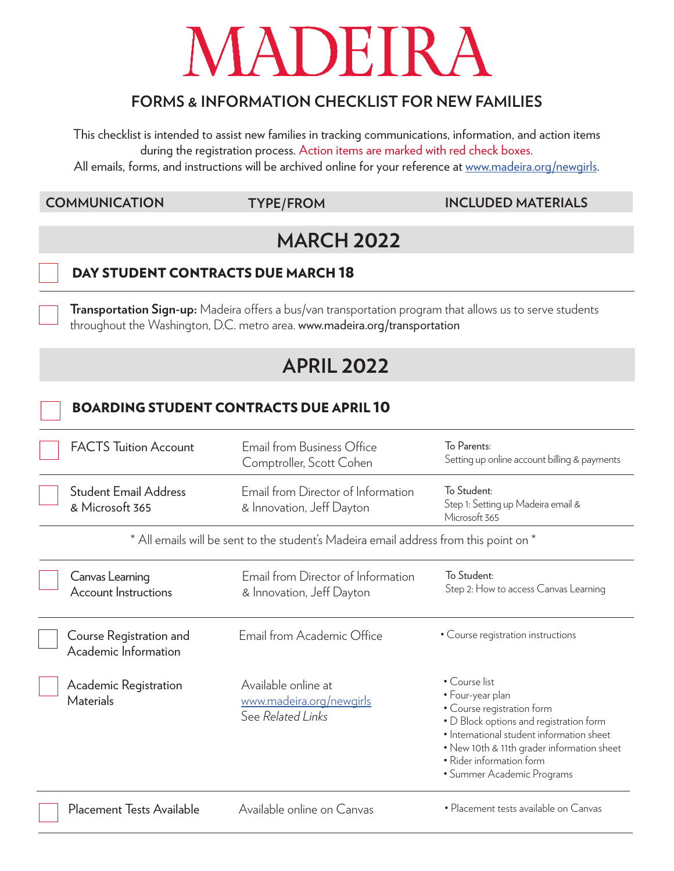# MADEIRA

# **FORMS & INFORMATION CHECKLIST FOR NEW FAMILIES**

This checklist is intended to assist new families in tracking communications, information, and action items during the registration process. Action items are marked with red check boxes.

All emails, forms, and instructions will be archived online for your reference at www.madeira.org/newgirls.

#### **COMMUNICATION TYPE/FROM INCLUDED MATERIALS**

# **MARCH 2022**

## DAY STUDENT CONTRACTS DUE MARCH 18

**Transportation Sign-up:** Madeira offers a bus/van transportation program that allows us to serve students throughout the Washington, D.C. metro area. www.madeira.org/transportation

# **APRIL 2022**

### BOARDING STUDENT CONTRACTS DUE APRIL 10

|                                                                                       | <b>FACTS Tuition Account</b>                    | Email from Business Office<br>Comptroller, Scott Cohen               | To Parents:<br>Setting up online account billing & payments                                                                                                                                                                                                     |  |
|---------------------------------------------------------------------------------------|-------------------------------------------------|----------------------------------------------------------------------|-----------------------------------------------------------------------------------------------------------------------------------------------------------------------------------------------------------------------------------------------------------------|--|
|                                                                                       | <b>Student Email Address</b><br>& Microsoft 365 | Email from Director of Information<br>& Innovation, Jeff Dayton      | To Student:<br>Step 1: Setting up Madeira email &<br>Microsoft 365                                                                                                                                                                                              |  |
| * All emails will be sent to the student's Madeira email address from this point on * |                                                 |                                                                      |                                                                                                                                                                                                                                                                 |  |
|                                                                                       | Canvas Learning<br><b>Account Instructions</b>  | Email from Director of Information<br>& Innovation, Jeff Dayton      | To Student:<br>Step 2: How to access Canvas Learning                                                                                                                                                                                                            |  |
|                                                                                       | Course Registration and<br>Academic Information | Email from Academic Office                                           | • Course registration instructions                                                                                                                                                                                                                              |  |
|                                                                                       | Academic Registration<br><b>Materials</b>       | Available online at<br>www.madeira.org/newgirls<br>See Related Links | • Course list<br>• Four-year plan<br>• Course registration form<br>• D Block options and registration form<br>• International student information sheet<br>• New 10th & 11th grader information sheet<br>• Rider information form<br>• Summer Academic Programs |  |
|                                                                                       | Placement Tests Available                       | Available online on Canvas                                           | • Placement tests available on Canvas                                                                                                                                                                                                                           |  |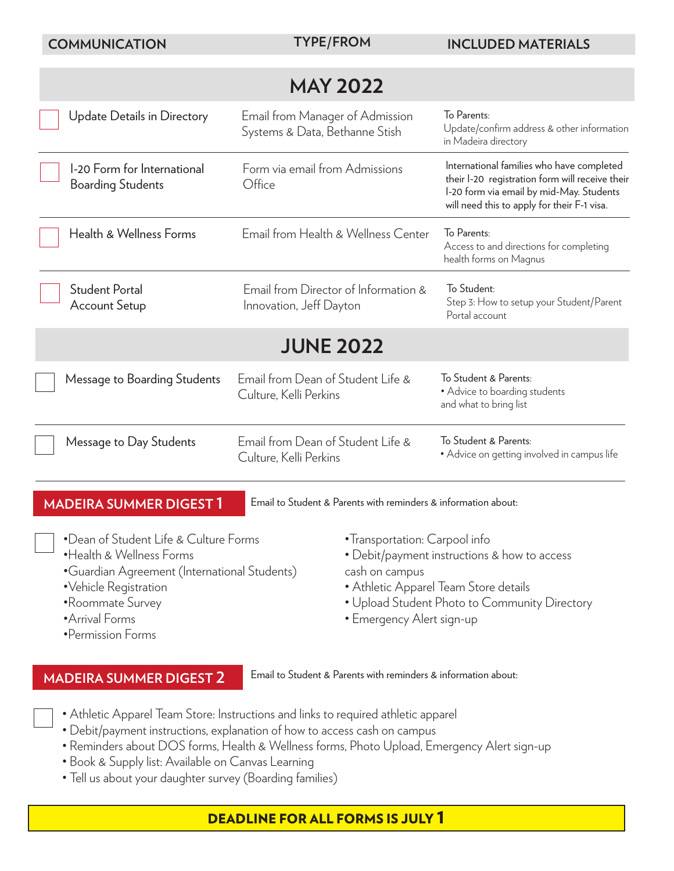| <b>COMMUNICATION</b>                                                                                                                                                                                    | <b>TYPE/FROM</b>                                                  | <b>INCLUDED MATERIALS</b>                                                                                                                                                                             |  |  |  |
|---------------------------------------------------------------------------------------------------------------------------------------------------------------------------------------------------------|-------------------------------------------------------------------|-------------------------------------------------------------------------------------------------------------------------------------------------------------------------------------------------------|--|--|--|
| <b>MAY 2022</b>                                                                                                                                                                                         |                                                                   |                                                                                                                                                                                                       |  |  |  |
| <b>Update Details in Directory</b>                                                                                                                                                                      | Email from Manager of Admission<br>Systems & Data, Bethanne Stish | To Parents:<br>Update/confirm address & other information<br>in Madeira directory                                                                                                                     |  |  |  |
| 1-20 Form for International<br><b>Boarding Students</b>                                                                                                                                                 | Form via email from Admissions<br>Office                          | International families who have completed<br>their I-20 registration form will receive their<br>I-20 form via email by mid-May. Students<br>will need this to apply for their F-1 visa.               |  |  |  |
| Health & Wellness Forms                                                                                                                                                                                 | Email from Health & Wellness Center                               | To Parents:<br>Access to and directions for completing<br>health forms on Magnus                                                                                                                      |  |  |  |
| <b>Student Portal</b><br><b>Account Setup</b>                                                                                                                                                           | Email from Director of Information &<br>Innovation, Jeff Dayton   | To Student:<br>Step 3: How to setup your Student/Parent<br>Portal account                                                                                                                             |  |  |  |
| <b>JUNE 2022</b>                                                                                                                                                                                        |                                                                   |                                                                                                                                                                                                       |  |  |  |
| Message to Boarding Students                                                                                                                                                                            | Email from Dean of Student Life &<br>Culture, Kelli Perkins       | To Student & Parents:<br>• Advice to boarding students<br>and what to bring list                                                                                                                      |  |  |  |
| Message to Day Students                                                                                                                                                                                 | Email from Dean of Student Life &<br>Culture, Kelli Perkins       | To Student & Parents:<br>• Advice on getting involved in campus life                                                                                                                                  |  |  |  |
| Email to Student & Parents with reminders & information about:<br><b>MADEIRA SUMMER DIGEST 1</b>                                                                                                        |                                                                   |                                                                                                                                                                                                       |  |  |  |
| •Dean of Student Life & Culture Forms<br>• Health & Wellness Forms<br>•Guardian Agreement (International Students)<br>·Vehicle Registration<br>•Roommate Survey<br>• Arrival Forms<br>•Permission Forms | cash on campus                                                    | • Transportation: Carpool info<br>• Debit/payment instructions & how to access<br>• Athletic Apparel Team Store details<br>• Upload Student Photo to Community Directory<br>• Emergency Alert sign-up |  |  |  |
| <b>MADEIRA SUMMER DIGEST 2</b>                                                                                                                                                                          | Email to Student & Parents with reminders & information about:    |                                                                                                                                                                                                       |  |  |  |

- Athletic Apparel Team Store: Instructions and links to required athletic apparel
- Debit/payment instructions, explanation of how to access cash on campus
- Reminders about DOS forms, Health & Wellness forms, Photo Upload, Emergency Alert sign-up
- Book & Supply list: Available on Canvas Learning
- Tell us about your daughter survey (Boarding families)

# DEADLINE FOR ALL FORMS IS JULY 1